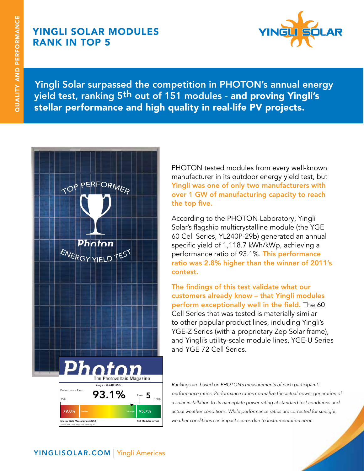# yingli SOLAR MODULES rank in top 5



Yingli Solar surpassed the competition in PHOTON's annual energy yield test, ranking 5th out of 151 modules - and proving Yingli's stellar performance and high quality in real-life PV projects.



PHOTON tested modules from every well-known manufacturer in its outdoor energy yield test, but Yingli was one of only two manufacturers with over 1 GW of manufacturing capacity to reach the top five.

According to the PHOTON Laboratory, Yingli Solar's flagship multicrystalline module (the YGE 60 Cell Series, YL240P-29b) generated an annual specific yield of 1,118.7 kWh/kWp, achieving a performance ratio of 93.1%. This performance ratio was 2.8% higher than the winner of 2011's contest.

The findings of this test validate what our customers already know – that Yingli modules perform exceptionally well in the field. The 60 Cell Series that was tested is materially similar to other popular product lines, including Yingli's YGE-Z Series (with a proprietary Zep Solar frame), and Yingli's utility-scale module lines, YGE-U Series and YGE 72 Cell Series.

*Rankings are based on PHOTON's measurements of each participant's performance ratios. Performance ratios normalize the actual power generation of a solar installation to its nameplate power rating at standard test conditions and actual weather conditions. While performance ratios are corrected for sunlight, weather conditions can impact scores due to instrumentation error.*